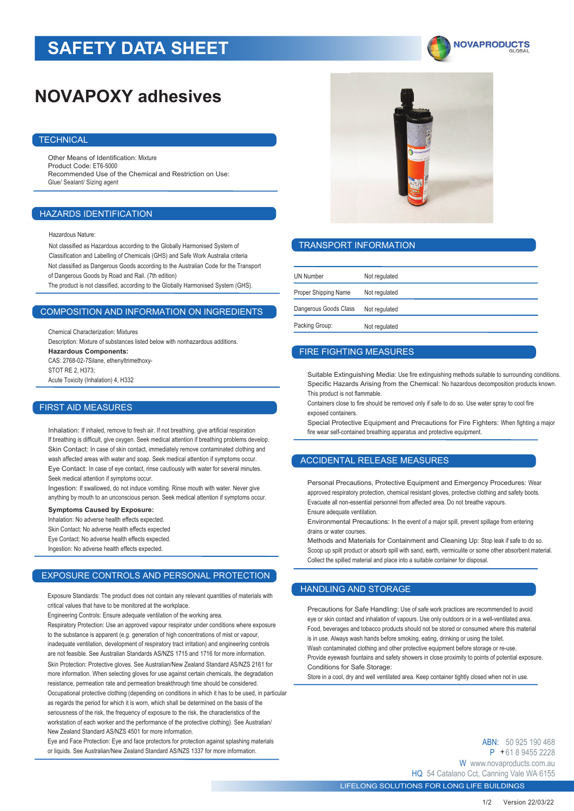# **SAFETY DATA SHEET**



# **NOVAPOXY adhesives**

### **TECHNICAL**

Other Means of Identification: Mixture Product Code: ET6-5000 Recommended Use of the Chemical and Restriction on Use: Glue/ Sealant/ Sizing agent

### HAZARDS IDENTIFICATION

Hazardous Nature:

Not classified as Hazardous according to the Globally Harmonised System of Classification and Labelling of Chemicals (GHS) and Safe Work Australia criteria Not classified as Dangerous Goods according to the Australian Code for the Transport of Dangerous Goods by Road and Rail. (7th edition)

The product is not classified, according to the Globally Harmonised System (GHS).

### COMPOSITION AND INFORMATION ON INGREDIENTS

Chemical Characterization: Mixtures

Description: Mixture of substances listed below with nonhazardous additions. **Hazardous Components:** CAS: 2768-02-7Silane, ethenyltrimethoxy-STOT RF 2 H373 Acute Toxicity (Inhalation) 4, H332

#### FIRST AID MEASURES

Inhalation: If inhaled, remove to fresh air. If not breathing, give artificial respiration If breathing is difficult, give oxygen. Seek medical attention if breathing problems develop. Skin Contact: In case of skin contact, immediately remove contaminated clothing and wash affected areas with water and soap. Seek medical attention if symptoms occur. Eye Contact: In case of eye contact, rinse cautiously with water for several minutes. Seek medical attention if symptoms occur.

Ingestion: If swallowed, do not induce vomiting. Rinse mouth with water. Never give anything by mouth to an unconscious person. Seek medical attention if symptoms occur.

**Symptoms Caused by Exposure:** Inhalation: No adverse health effects expected. Skin Contact: No adverse health effects expected Eye Contact: No adverse health effects expected. Ingestion: No adverse health effects expected.

## EXPOSURE CONTROLS AND PERSONAL PROTECTION

Exposure Standards: The product does not contain any relevant quantities of materials with critical values that have to be monitored at the workplace.

Engineering Controls: Ensure adequate ventilation of the working area.

Respiratory Protection: Use an approved vapour respirator under conditions where exposure to the substance is apparent (e.g. generation of high concentrations of mist or vapour, inadequate ventilation, development of respiratory tract irritation) and engineering controls are not feasible. See Australian Standards AS/NZS 1715 and 1716 for more information. Skin Protection: Protective gloves. See Australian/New Zealand Standard AS/NZS 2161 for more information. When selecting gloves for use against certain chemicals, the degradation resistance, permeation rate and permeation breakthrough time should be considered. Occupational protective clothing (depending on conditions in which it has to be used, in particular as regards the period for which it is worn, which shall be determined on the basis of the seriousness of the risk, the frequency of exposure to the risk, the characteristics of the workstation of each worker and the performance of the protective clothing). See Australian/ New Zealand Standard AS/NZS 4501 for more information.

Eye and Face Protection: Eye and face protectors for protection against splashing materials or liquids. See Australian/New Zealand Standard AS/NZS 1337 for more information.



#### TRANSPORT INFORMATION

| <b>UN Number</b>      | Not regulated |
|-----------------------|---------------|
| Proper Shipping Name  | Not regulated |
| Dangerous Goods Class | Not regulated |
| Packing Group:        | Not regulated |

## FIRE FIGHTING MEASURES

Suitable Extinguishing Media: Use fire extinguishing methods suitable to surrounding conditions. Specific Hazards Arising from the Chemical: No hazardous decomposition products known. This product is not flammable.

Containers close to fire should be removed only if safe to do so. Use water spray to cool fire exposed containers.

Special Protective Equipment and Precautions for Fire Fighters: When fighting a major fire wear self-contained breathing apparatus and protective equipment.

## ACCIDENTAL RELEASE MEASURES

Personal Precautions, Protective Equipment and Emergency Procedures: Wear approved respiratory protection, chemical resistant gloves, protective clothing and safety boots. Evacuate all non-essential personnel from affected area. Do not breathe vapours. Ensure adequate ventilation.

Environmental Precautions: In the event of a major spill, prevent spillage from entering drains or water courses.

Methods and Materials for Containment and Cleaning Up: Stop leak if safe to do so. Scoop up spilt product or absorb spill with sand, earth, vermiculite or some other absorbent material. Collect the spilled material and place into a suitable container for disposal.

# HANDLING AND STORAGE

Precautions for Safe Handling: Use of safe work practices are recommended to avoid eye or skin contact and inhalation of vapours. Use only outdoors or in a well-ventilated area. Food, beverages and tobacco products should not be stored or consumed where this material is in use. Always wash hands before smoking, eating, drinking or using the toilet Wash contaminated clothing and other protective equipment before storage or re-use. Provide eyewash fountains and safety showers in close proximity to points of potential exposure.

Conditions for Safe Storage:

Store in a cool, dry and well ventilated area. Keep container tightly closed when not in use.

ABN: 50 925 190 468 P + 61 8 9455 2228 W www.novaproducts.com.au HQ 54 Catalano Cct, Canning Vale WA 6155